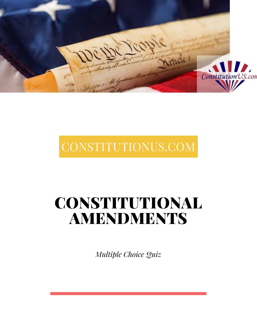

# CONSTITUTIONUS.COM

# CONSTITUTIONAL AMENDMENTS

*Multiple Choice Quiz*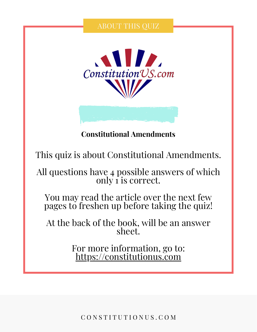# ABOUT THIS QUIZ



# **Constitutional Amendments**

This quiz is about Constitutional Amendments.

All questions have 4 possible answers of which only 1 is correct.

You may read the article over the next few pages to freshen up before taking the quiz!

At the back of the book, will be an answer sheet.

> For more information, go to: [https://constitutionus.com](https://constitutionus.com/)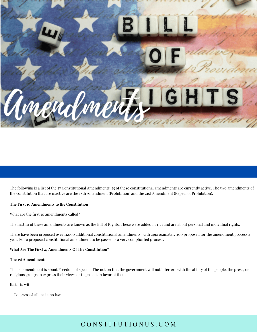

The following is a list of the 27 Constitutional Amendments. 25 of these constitutional amendments are currently active. The two amendments of the constitution that are inactive are the 18th Amendment (Prohibition) and the 21st Amendment (Repeal of Prohibition).

#### **The First 10 Amendments to the Constitution**

What are the first 10 amendments called?

The first 10 of these amendments are known as the Bill of Rights. These were added in 1791 and are about personal and individual rights.

There have been proposed over 11,000 additional constitutional amendments, with approximately 200 proposed for the amendment process a year. For a proposed constitutional amendment to be passed is a very complicated process.

#### **What Are The First 27 Amendments Of The Constitution?**

#### **The 1st Amendment:**

The 1st amendment is about Freedom of speech. The notion that the government will not interfere with the ability of the people, the press, or religious groups to express their views or to protest in favor of them.

It starts with:

Congress shall make no law…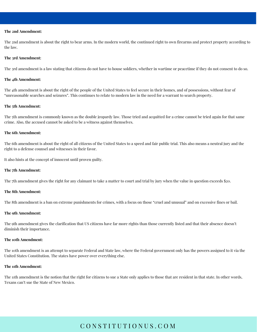#### **The 2nd Amendment:**

The 2nd [amendment](https://constitutionus.com/constitution/amendments/the-2nd-amendment-to-the-united-states-constitution-explained/) is about the right to bear arms. In the modern world, the continued right to own firearms and protect property according to the law.

#### **The 3rd Amendment:**

The 3rd [amendment](https://constitutionus.com/constitution/amendments/the-3rd-amendment-to-the-united-states-constitution-explained/) is a law stating that citizens do not have to house soldiers, whether in wartime or peacetime if they do not consent to do so.

#### **The 4th Amendment:**

The 4th [amendment](https://constitutionus.com/constitution/amendments/the-4th-amendment-to-the-united-states-constitution-explained/) is about the right of the people of the United States to feel secure in their homes, and of possessions, without fear of "unreasonable searches and seizures". This continues to relate to modern law in the need for a warrant to search property.

#### **The 5th Amendment:**

The 5th [amendment](https://constitutionus.com/constitution/amendments/the-5th-amendment-to-the-united-states-constitution-explained/) is commonly known as the double jeopardy law. Those tried and acquitted for a crime cannot be tried again for that same crime. Also, the accused cannot be asked to be a witness against themselves.

#### **The 6th Amendment:**

The 6th [amendment](https://constitutionus.com/constitution/amendments/the-6th-amendment-to-the-united-states-constitution-explained/) is about the right of all citizens of the United States to a speed and fair public trial. This also means a neutral jury and the right to a defense counsel and witnesses in their favor.

It also hints at the concept of [innocent](https://constitutionus.com/constitution/where-is-innocent-until-proven-guilty-found-in-the-constitution/) until proven guilty.

#### **The 7th Amendment:**

The 7th [amendment](https://constitutionus.com/constitution/amendments/the-7th-amendment-to-the-united-states-constitution-explained/) gives the right for any claimant to take a matter to court and trial by jury when the value in question exceeds \$20.

#### **The 8th Amendment:**

The 8th [amendment](https://constitutionus.com/constitution/amendments/the-8th-amendment-to-the-united-states-constitution-explained/) is a ban on extreme punishments for crimes, with a focus on those "cruel and unusual" and on excessive fines or bail.

#### **The 9th Amendment:**

The 9th [amendment](https://constitutionus.com/constitution/the-9th-amendment-to-the-united-states-constitution-explained/) gives the clarification that US citizens have far more rights than those currently listed and that their absence doesn't diminish their importance.

#### **The 10th Amendment:**

The 10th [amendment](https://constitutionus.com/constitution/the-10th-amendment-to-the-united-states-constitution-explained/) is an attempt to separate Federal and State law, where the Federal government only has the powers assigned to it via the United States Constitution. The states have power over everything else.

#### **The 11th Amendment:**

The 11th [amendment](https://constitutionus.com/constitution/the-11th-amendment-to-the-united-states-constitution-explained/) is the notion that the right for citizens to sue a State only applies to those that are resident in that state. In other words, Texans can't sue the State of New Mexico.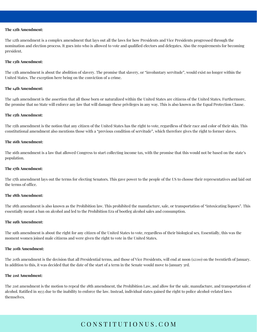#### **The 12th Amendment:**

The 12th [amendment](https://constitutionus.com/constitution/the-12th-amendment-to-the-united-states-constitution-explained/) is a complex amendment that lays out all the laws for how Presidents and Vice Presidents progressed through the nomination and election process. It goes into who is allowed to vote and qualified electors and delegates. Also the [requirements](https://constitutionus.com/constitution/requirements-and-qualifications-to-become-us-president/) for becoming [president.](https://constitutionus.com/constitution/requirements-and-qualifications-to-become-us-president/)

#### **The 13th Amendment:**

The 13th [amendment](https://constitutionus.com/constitution/the-13th-amendment-to-the-united-states-constitution-explained/) is about the abolition of slavery. The promise that slavery, or "involuntary servitude", would exist no longer within the United States. The exception here being on the conviction of a crime.

#### **The 14th Amendment:**

The 14th [amendment](https://constitutionus.com/constitution/amendments/the-14th-amendment-to-the-united-states-constitution-explained/) is the assertion that all those born or naturalized within the United States are citizens of the United States. Furthermore, the promise that no State will enforce any law that will damage these privileges in any way. This is also known as the Equal Protection Clause.

#### **The 15th Amendment:**

The 15th [amendment](https://constitutionus.com/constitution/the-15th-amendment-to-the-united-states-constitution-explained/) is the notion that any citizen of the United States has the right to vote, regardless of their race and color of their skin. This constitutional amendment also mentions those with a "previous condition of servitude", which therefore gives the right to former slaves.

#### **The 16th Amendment:**

The 16th [amendment](https://constitutionus.com/constitution/amendments/the-16th-amendment-to-the-united-states-constitution-explained/) is a law that allowed Congress to start collecting income tax, with the promise that this would not be based on the state's population.

#### **The 17th Amendment:**

The 17th [amendment](https://constitutionus.com/constitution/amendments/the-17th-amendment-to-the-united-states-constitution-explained/) lays out the terms for electing [Senators.](https://constitutionus.com/us-naturalization-test/elect-us-senator-how-many-years/) This gave power to the people of the US to choose their representatives and laid out the terms of office.

#### **The 18th Amendment:**

The 18th [amendment](https://constitutionus.com/constitution/amendments/the-eighteenth-amendment-to-the-united-states-constitution-explained/) is also known as the Prohibition law. This prohibited the manufacture, sale, or transportation of "intoxicating liquors". This essentially meant a ban on alcohol and led to the [Prohibition](https://constitutionus.com/constitution/amendments/what-was-prohibition/) Era of bootleg alcohol sales and consumption.

#### **The 19th Amendment:**

The 19th [amendment](https://constitutionus.com/constitution/the-19th-amendment-to-the-united-states-constitution-explained/) is about the right for any citizen of the United States to vote, regardless of their biological sex. Essentially, this was the moment women joined male citizens and were given the right to vote in the United States.

#### **The 20th Amendment:**

The 20th [amendment](https://constitutionus.com/constitution/the-twentieth-amendment-to-the-united-states-constitution-explained/) is the decision that all Presidential terms, and those of Vice Presidents, will end at noon (12:00) on the twentieth of January. In addition to this, it was decided that the date of the start of a term in the Senate would move to January 3rd.

#### **The 21st Amendment:**

The 21st [amendment](https://constitutionus.com/constitution/the-21st-amendment-to-the-united-states-constitution-explained/) is the motion to repeal the 18th amendment, the Prohibition Law, and allow for the sale, manufacture, and transportation of alcohol. Ratified in 1933 due to the inability to enforce the law. Instead, individual states gained the right to police alcohol-related laws themselves.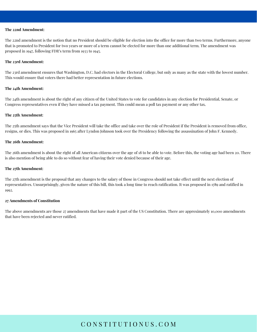#### **The 22nd Amendment:**

The 22nd [amendment](https://constitutionus.com/constitution/amendments/the-22nd-amendment-to-the-united-states-constitution-explained/) is the notion that no President should be eligible for election into the office for more than two terms. Furthermore, anyone that is promoted to President for two years or more of a term cannot be elected for more than one additional term. The amendment was proposed in 1947, following FDR's term from 1933 to 1945.

#### **The 23rd Amendment:**

The 23rd [amendment](https://constitutionus.com/constitution/the-23rd-amendment-to-the-united-states-constitution-explained/) ensures that Washington, D.C. had electors in the [Electoral](https://constitutionus.com/congress/what-is-wrong-with-the-electoral-college/) College, but only as many as the state with the lowest number. This would ensure that voters there had better representation in future elections.

#### **The 24th Amendment:**

The 24th [amendment](https://constitutionus.com/constitution/24th-amendment-of-the-united-states-constitution-explained/) is about the right of any citizen of the United States to vote for candidates in any election for Presidential, Senate, or Congress representatives even if they have missed a tax payment. This could mean a poll tax payment or any other tax.

#### **The 25th Amendment:**

The 25th [amendment](https://constitutionus.com/constitution/amendments/the-25th-amendment-to-the-united-states-constitution-explained/) says that the Vice President will take the office and take over the role of President if the President is removed from office, resigns, or dies. This was proposed in 1965 after Lyndon Johnson took over the Presidency following the assassination of John F. [Kennedy.](https://constitutionus.com/presidents/president-john-f-kennedy/)

#### **The 26th Amendment:**

The 26th [amendment](https://constitutionus.com/constitution/26th-amendment-of-the-united-states-constitution-explained/) is about the right of all American citizens over the age of 18 to be able to vote. Before this, the voting age had been 20. There is also mention of being able to do so without fear of having their vote denied because of their age.

#### **The 27th Amendment:**

The 27th [amendment](https://constitutionus.com/constitution/the-27th-amendment-to-the-united-states-constitution-explained/) is the proposal that any changes to the salary of those in Congress should not take effect until the next election of representatives. Unsurprisingly, given the nature of this bill, this took a long time to reach ratification. It was proposed in 1789 and ratified in 1992.

#### **27 Amendments of Constitution**

The above amendments are those 27 [amendments](https://constitutionus.com/constitution/amendments/how-many-amendments-does-the-constitution-have/) that have made it part of the US Constitution. There are approximately 10,000 amendments that have been rejected and never ratified.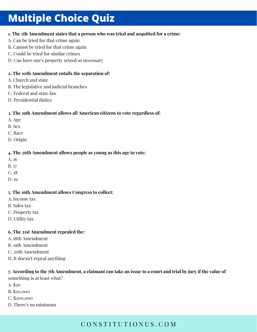# **Multiple Choice Quiz**

## **1. The 5th Amendment states that a person who was tried and acquitted for a crime:**

- A. Can be tried for that crime again
- B. Cannot be tried for that crime again
- C. Could be tried for similar crimes
- D. Can have one's property seized as necessary

### **2. The 10th Amendment entails the separation of:**

- A. Church and state
- B. The legislative and judicial branches
- C. Federal and state law
- D. Presidential duties

## **3. The 19th Amendment allows all American citizens to vote regardless of:**

- A. Age
- B. Sex
- C. Race
- D. Origin

## **4. The 26th Amendment allows people as young as this age to vote:**

- A. 16
- B. 17
- C. 18
- D. 19

### **5. The 16th Amendment allows Congress to collect:**

- A. Income tax
- B. Sales tax
- C. Property tax
- D. Utility tax

## **6. The 21st Amendment repealed the:**

- A. 18th Amendment
- B. 19th Amendment
- C. 20th Amendment
- D. It doesn't repeal anything

### 7. According to the 7th Amendment, a claimant can take an issue to a court and trial by jury if the value of something is at least what?

- A. \$20
- B. \$20,000
- C. \$200,000
- D. There's no minimum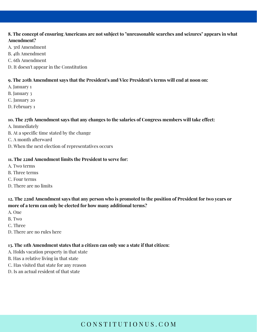## 8. The concept of ensuring Americans are not subject to "unreasonable searches and seizures" appears in what **Amendment?**

- A. 3rd Amendment
- B. 4th Amendment
- C. 6th Amendment
- D. It doesn't appear in the Constitution

## **9. The 20th Amendment says that the President's and Vice President's terms will end at noon on:**

- A. January 1
- B. January 3
- C. January 20
- D. February 1

## **10. The 27th Amendment says that any changes to the salaries of Congress members will take effect:**

- A. Immediately
- B. At a specific time stated by the change
- C. A month afterward
- D. When the next election of representatives occurs

## **11. The 22nd Amendment limits the President to serve for:**

- A. Two terms
- B. Three terms
- C. Four terms
- D. There are no limits

# 12. The 22nd Amendment says that any person who is promoted to the position of President for two years or **more of a term can only be elected for how many additional terms?**

- A. One
- B. Two
- C. Three
- D. There are no rules here

## **13. The 11th Amendment states that a citizen can only sue a state if that citizen:**

- A. Holds vacation property in that state
- B. Has a relative living in that state
- C. Has visited that state for any reason
- D. Is an actual resident of that state